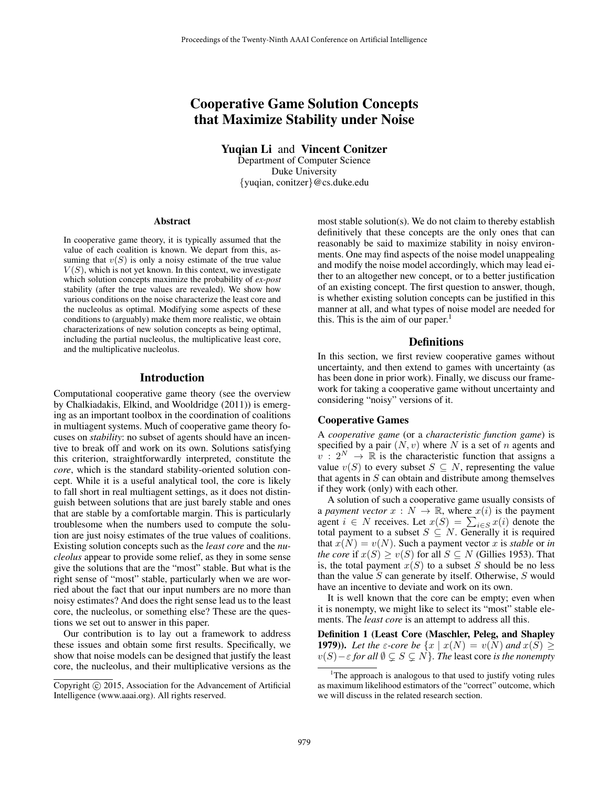# Cooperative Game Solution Concepts that Maximize Stability under Noise

Yuqian Li and Vincent Conitzer

Department of Computer Science Duke University {yuqian, conitzer}@cs.duke.edu

#### Abstract

In cooperative game theory, it is typically assumed that the value of each coalition is known. We depart from this, assuming that  $v(S)$  is only a noisy estimate of the true value  $V(S)$ , which is not yet known. In this context, we investigate which solution concepts maximize the probability of *ex-post* stability (after the true values are revealed). We show how various conditions on the noise characterize the least core and the nucleolus as optimal. Modifying some aspects of these conditions to (arguably) make them more realistic, we obtain characterizations of new solution concepts as being optimal, including the partial nucleolus, the multiplicative least core, and the multiplicative nucleolus.

## Introduction

Computational cooperative game theory (see the overview by Chalkiadakis, Elkind, and Wooldridge (2011)) is emerging as an important toolbox in the coordination of coalitions in multiagent systems. Much of cooperative game theory focuses on *stability*: no subset of agents should have an incentive to break off and work on its own. Solutions satisfying this criterion, straightforwardly interpreted, constitute the *core*, which is the standard stability-oriented solution concept. While it is a useful analytical tool, the core is likely to fall short in real multiagent settings, as it does not distinguish between solutions that are just barely stable and ones that are stable by a comfortable margin. This is particularly troublesome when the numbers used to compute the solution are just noisy estimates of the true values of coalitions. Existing solution concepts such as the *least core* and the *nucleolus* appear to provide some relief, as they in some sense give the solutions that are the "most" stable. But what is the right sense of "most" stable, particularly when we are worried about the fact that our input numbers are no more than noisy estimates? And does the right sense lead us to the least core, the nucleolus, or something else? These are the questions we set out to answer in this paper.

Our contribution is to lay out a framework to address these issues and obtain some first results. Specifically, we show that noise models can be designed that justify the least core, the nucleolus, and their multiplicative versions as the

most stable solution(s). We do not claim to thereby establish definitively that these concepts are the only ones that can reasonably be said to maximize stability in noisy environments. One may find aspects of the noise model unappealing and modify the noise model accordingly, which may lead either to an altogether new concept, or to a better justification of an existing concept. The first question to answer, though, is whether existing solution concepts can be justified in this manner at all, and what types of noise model are needed for this. This is the aim of our paper.<sup>1</sup>

## **Definitions**

In this section, we first review cooperative games without uncertainty, and then extend to games with uncertainty (as has been done in prior work). Finally, we discuss our framework for taking a cooperative game without uncertainty and considering "noisy" versions of it.

#### Cooperative Games

A *cooperative game* (or a *characteristic function game*) is specified by a pair  $(N, v)$  where N is a set of n agents and  $v : 2^N \to \mathbb{R}$  is the characteristic function that assigns a value  $v(S)$  to every subset  $S \subseteq N$ , representing the value that agents in  $S$  can obtain and distribute among themselves if they work (only) with each other.

A solution of such a cooperative game usually consists of a *payment vector*  $x : N \to \mathbb{R}$ , where  $x(i)$  is the payment agent  $i \in N$  receives. Let  $x(S) = \sum_{i \in S} x(i)$  denote the total payment to a subset  $S \subseteq N$ . Generally it is required that  $x(N) = v(N)$ . Such a payment vector x is *stable* or *in the core* if  $x(S) \ge v(S)$  for all  $S \subseteq N$  (Gillies 1953). That is, the total payment  $x(S)$  to a subset S should be no less than the value  $S$  can generate by itself. Otherwise,  $S$  would have an incentive to deviate and work on its own.

It is well known that the core can be empty; even when it is nonempty, we might like to select its "most" stable elements. The *least core* is an attempt to address all this.

Definition 1 (Least Core (Maschler, Peleg, and Shapley **1979**)). Let the  $\varepsilon$ -core be  $\{x \mid x(N) = v(N) \text{ and } x(S) \geq 0\}$  $v(S)$  –  $\varepsilon$  *for all*  $\emptyset \subsetneq S \subsetneq N$ *}. The least core is the nonempty* 

Copyright (c) 2015, Association for the Advancement of Artificial Intelligence (www.aaai.org). All rights reserved.

<sup>&</sup>lt;sup>1</sup>The approach is analogous to that used to justify voting rules as maximum likelihood estimators of the "correct" outcome, which we will discuss in the related research section.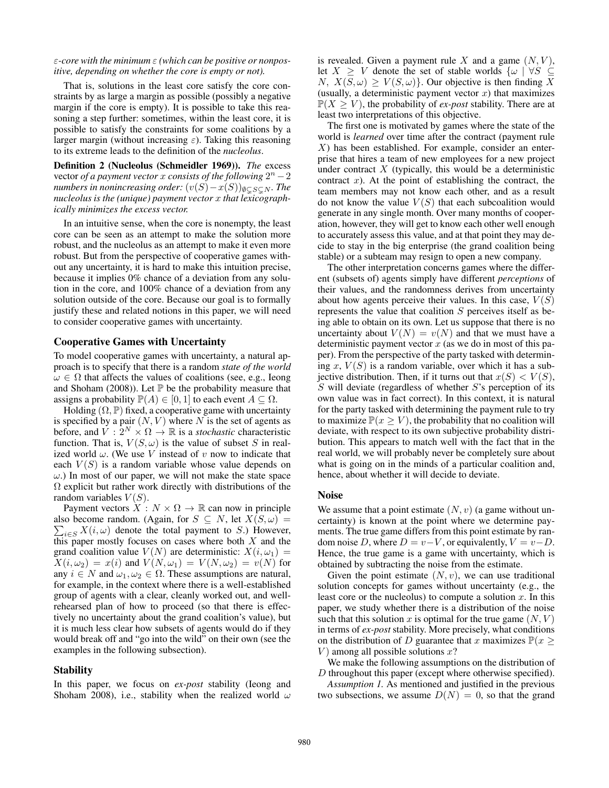## ε*-core with the minimum* ε *(which can be positive or nonpositive, depending on whether the core is empty or not).*

That is, solutions in the least core satisfy the core constraints by as large a margin as possible (possibly a negative margin if the core is empty). It is possible to take this reasoning a step further: sometimes, within the least core, it is possible to satisfy the constraints for some coalitions by a larger margin (without increasing  $\varepsilon$ ). Taking this reasoning to its extreme leads to the definition of the *nucleolus*.

Definition 2 (Nucleolus (Schmeidler 1969)). *The* excess vector *of a payment vector* x *consists of the following*  $2^n - 2$ *numbers in nonincreasing order:*  $(v(S) - x(S))_{\emptyset \subset S \subset N}$ *. The nucleolus is the (unique) payment vector* x *that lexicographically minimizes the excess vector.*

In an intuitive sense, when the core is nonempty, the least core can be seen as an attempt to make the solution more robust, and the nucleolus as an attempt to make it even more robust. But from the perspective of cooperative games without any uncertainty, it is hard to make this intuition precise, because it implies 0% chance of a deviation from any solution in the core, and 100% chance of a deviation from any solution outside of the core. Because our goal is to formally justify these and related notions in this paper, we will need to consider cooperative games with uncertainty.

#### Cooperative Games with Uncertainty

To model cooperative games with uncertainty, a natural approach is to specify that there is a random *state of the world*  $\omega \in \Omega$  that affects the values of coalitions (see, e.g., Ieong and Shoham (2008)). Let  $\mathbb P$  be the probability measure that assigns a probability  $\mathbb{P}(A) \in [0,1]$  to each event  $A \subseteq \Omega$ .

Holding  $(\Omega, \mathbb{P})$  fixed, a cooperative game with uncertainty is specified by a pair  $(N, V)$  where N is the set of agents as before, and  $V : 2^N \times \Omega \to \mathbb{R}$  is a *stochastic* characteristic function. That is,  $V(S,\omega)$  is the value of subset S in realized world  $\omega$ . (We use V instead of v now to indicate that each  $V(S)$  is a random variable whose value depends on  $\omega$ .) In most of our paper, we will not make the state space Ω explicit but rather work directly with distributions of the random variables  $V(S)$ .

Payment vectors  $X : N \times \Omega \to \mathbb{R}$  can now in principle  $\sum_{i \in S} X(i, \omega)$  denote the total payment to S.) However, also become random. (Again, for  $S \subseteq N$ , let  $X(S, \omega) =$ this paper mostly focuses on cases where both  $X$  and the grand coalition value  $V(N)$  are deterministic:  $X(i, \omega_1) =$  $X(i, \omega_2) = x(i)$  and  $V(N, \omega_1) = V(N, \omega_2) = v(N)$  for any  $i \in N$  and  $\omega_1, \omega_2 \in \Omega$ . These assumptions are natural, for example, in the context where there is a well-established group of agents with a clear, cleanly worked out, and wellrehearsed plan of how to proceed (so that there is effectively no uncertainty about the grand coalition's value), but it is much less clear how subsets of agents would do if they would break off and "go into the wild" on their own (see the examples in the following subsection).

#### **Stability**

In this paper, we focus on *ex-post* stability (Ieong and Shoham 2008), i.e., stability when the realized world  $\omega$ 

is revealed. Given a payment rule X and a game  $(N, V)$ , let  $X \geq V$  denote the set of stable worlds  $\{\omega \mid \forall S \subseteq$  $N, X(S, \omega) \geq V(S, \omega)$ . Our objective is then finding X (usually, a deterministic payment vector  $x$ ) that maximizes  $\mathbb{P}(X \geq V)$ , the probability of *ex-post* stability. There are at least two interpretations of this objective.

The first one is motivated by games where the state of the world is *learned* over time after the contract (payment rule  $X$ ) has been established. For example, consider an enterprise that hires a team of new employees for a new project under contract  $X$  (typically, this would be a deterministic contract  $x$ ). At the point of establishing the contract, the team members may not know each other, and as a result do not know the value  $V(S)$  that each subcoalition would generate in any single month. Over many months of cooperation, however, they will get to know each other well enough to accurately assess this value, and at that point they may decide to stay in the big enterprise (the grand coalition being stable) or a subteam may resign to open a new company.

The other interpretation concerns games where the different (subsets of) agents simply have different *perceptions* of their values, and the randomness derives from uncertainty about how agents perceive their values. In this case,  $V(S)$ represents the value that coalition S perceives itself as being able to obtain on its own. Let us suppose that there is no uncertainty about  $V(N) = v(N)$  and that we must have a deterministic payment vector  $x$  (as we do in most of this paper). From the perspective of the party tasked with determining x,  $V(S)$  is a random variable, over which it has a subjective distribution. Then, if it turns out that  $x(S) < V(S)$ ,  $S$  will deviate (regardless of whether  $S$ 's perception of its own value was in fact correct). In this context, it is natural for the party tasked with determining the payment rule to try to maximize  $\mathbb{P}(x \geq V)$ , the probability that no coalition will deviate, with respect to its own subjective probability distribution. This appears to match well with the fact that in the real world, we will probably never be completely sure about what is going on in the minds of a particular coalition and, hence, about whether it will decide to deviate.

#### Noise

We assume that a point estimate  $(N, v)$  (a game without uncertainty) is known at the point where we determine payments. The true game differs from this point estimate by random noise D, where  $D = v - V$ , or equivalently,  $V = v - D$ . Hence, the true game is a game with uncertainty, which is obtained by subtracting the noise from the estimate.

Given the point estimate  $(N, v)$ , we can use traditional solution concepts for games without uncertainty (e.g., the least core or the nucleolus) to compute a solution  $x$ . In this paper, we study whether there is a distribution of the noise such that this solution x is optimal for the true game  $(N, V)$ in terms of *ex-post* stability. More precisely, what conditions on the distribution of D guarantee that x maximizes  $\mathbb{P}(x >$  $V$ ) among all possible solutions  $x$ ?

We make the following assumptions on the distribution of D throughout this paper (except where otherwise specified).

*Assumption 1.* As mentioned and justified in the previous two subsections, we assume  $D(N) = 0$ , so that the grand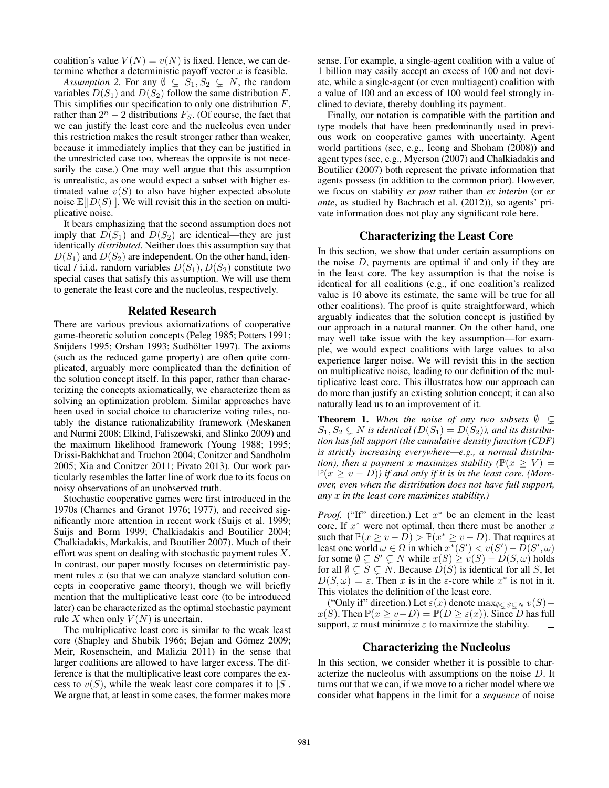coalition's value  $V(N) = v(N)$  is fixed. Hence, we can determine whether a deterministic payoff vector  $x$  is feasible.

*Assumption 2.* For any  $\emptyset \subsetneq S_1, S_2 \subsetneq N$ , the random variables  $D(S_1)$  and  $D(S_2)$  follow the same distribution F. This simplifies our specification to only one distribution  $F$ , rather than  $2^n - 2$  distributions  $F_S$ . (Of course, the fact that we can justify the least core and the nucleolus even under this restriction makes the result stronger rather than weaker, because it immediately implies that they can be justified in the unrestricted case too, whereas the opposite is not necesarily the case.) One may well argue that this assumption is unrealistic, as one would expect a subset with higher estimated value  $v(S)$  to also have higher expected absolute noise  $\mathbb{E}[|D(S)|]$ . We will revisit this in the section on multiplicative noise.

It bears emphasizing that the second assumption does not imply that  $D(S_1)$  and  $D(S_2)$  are identical—they are just identically *distributed*. Neither does this assumption say that  $D(S_1)$  and  $D(S_2)$  are independent. On the other hand, identical / i.i.d. random variables  $D(S_1), D(S_2)$  constitute two special cases that satisfy this assumption. We will use them to generate the least core and the nucleolus, respectively.

## Related Research

There are various previous axiomatizations of cooperative game-theoretic solution concepts (Peleg 1985; Potters 1991; Snijders 1995; Orshan 1993; Sudhölter 1997). The axioms (such as the reduced game property) are often quite complicated, arguably more complicated than the definition of the solution concept itself. In this paper, rather than characterizing the concepts axiomatically, we characterize them as solving an optimization problem. Similar approaches have been used in social choice to characterize voting rules, notably the distance rationalizability framework (Meskanen and Nurmi 2008; Elkind, Faliszewski, and Slinko 2009) and the maximum likelihood framework (Young 1988; 1995; Drissi-Bakhkhat and Truchon 2004; Conitzer and Sandholm 2005; Xia and Conitzer 2011; Pivato 2013). Our work particularly resembles the latter line of work due to its focus on noisy observations of an unobserved truth.

Stochastic cooperative games were first introduced in the 1970s (Charnes and Granot 1976; 1977), and received significantly more attention in recent work (Suijs et al. 1999; Suijs and Borm 1999; Chalkiadakis and Boutilier 2004; Chalkiadakis, Markakis, and Boutilier 2007). Much of their effort was spent on dealing with stochastic payment rules X. In contrast, our paper mostly focuses on deterministic payment rules  $x$  (so that we can analyze standard solution concepts in cooperative game theory), though we will briefly mention that the multiplicative least core (to be introduced later) can be characterized as the optimal stochastic payment rule X when only  $V(N)$  is uncertain.

The multiplicative least core is similar to the weak least core (Shapley and Shubik 1966; Bejan and Gómez 2009; Meir, Rosenschein, and Malizia 2011) in the sense that larger coalitions are allowed to have larger excess. The difference is that the multiplicative least core compares the excess to  $v(S)$ , while the weak least core compares it to |S|. We argue that, at least in some cases, the former makes more

sense. For example, a single-agent coalition with a value of 1 billion may easily accept an excess of 100 and not deviate, while a single-agent (or even multiagent) coalition with a value of 100 and an excess of 100 would feel strongly inclined to deviate, thereby doubling its payment.

Finally, our notation is compatible with the partition and type models that have been predominantly used in previous work on cooperative games with uncertainty. Agent world partitions (see, e.g., Ieong and Shoham (2008)) and agent types (see, e.g., Myerson (2007) and Chalkiadakis and Boutilier (2007) both represent the private information that agents possess (in addition to the common prior). However, we focus on stability *ex post* rather than *ex interim* (or *ex ante*, as studied by Bachrach et al. (2012)), so agents' private information does not play any significant role here.

## Characterizing the Least Core

In this section, we show that under certain assumptions on the noise  $D$ , payments are optimal if and only if they are in the least core. The key assumption is that the noise is identical for all coalitions (e.g., if one coalition's realized value is 10 above its estimate, the same will be true for all other coalitions). The proof is quite straightforward, which arguably indicates that the solution concept is justified by our approach in a natural manner. On the other hand, one may well take issue with the key assumption—for example, we would expect coalitions with large values to also experience larger noise. We will revisit this in the section on multiplicative noise, leading to our definition of the multiplicative least core. This illustrates how our approach can do more than justify an existing solution concept; it can also naturally lead us to an improvement of it.

**Theorem 1.** When the noise of any two subsets  $\emptyset \subseteq$  $S_1, S_2 \subseteq N$  is identical  $(D(S_1) = D(S_2))$ , and its distribu*tion has full support (the cumulative density function (CDF) is strictly increasing everywhere—e.g., a normal distribution), then a payment* x *maximizes stability* ( $\mathbb{P}(x \geq V)$ ) =  $\mathbb{P}(x \ge v - D)$ ) if and only if it is in the least core. (More*over, even when the distribution does not have full support, any* x *in the least core maximizes stability.)*

*Proof.* ("If" direction.) Let  $x^*$  be an element in the least core. If  $x^*$  were not optimal, then there must be another  $x$ such that  $\mathbb{P}(x \ge v - D) > \mathbb{P}(x^* \ge v - D)$ . That requires at least one world  $\omega \in \Omega$  in which  $x^*(S') < v(S') - \overline{D}(S', \omega)$ for some  $\emptyset \subsetneq S' \subsetneq N$  while  $x(S) \ge v(S) - D(S, \omega)$  holds for all  $\emptyset \subseteq S \subseteq N$ . Because  $D(S)$  is identical for all S, let  $D(S, \omega) = \varepsilon$ . Then x is in the  $\varepsilon$ -core while  $x^*$  is not in it. This violates the definition of the least core.

("Only if" direction.) Let  $\varepsilon(x)$  denote  $\max_{\emptyset \subset S \subset N} v(S)$  –  $x(S)$ . Then  $\mathbb{P}(x \ge v - D) = \mathbb{P}(D \ge \varepsilon(x))$ . Since D has full support, x must minimize  $\varepsilon$  to maximize the stability.  $\Box$ 

#### Characterizing the Nucleolus

In this section, we consider whether it is possible to characterize the nucleolus with assumptions on the noise D. It turns out that we can, if we move to a richer model where we consider what happens in the limit for a *sequence* of noise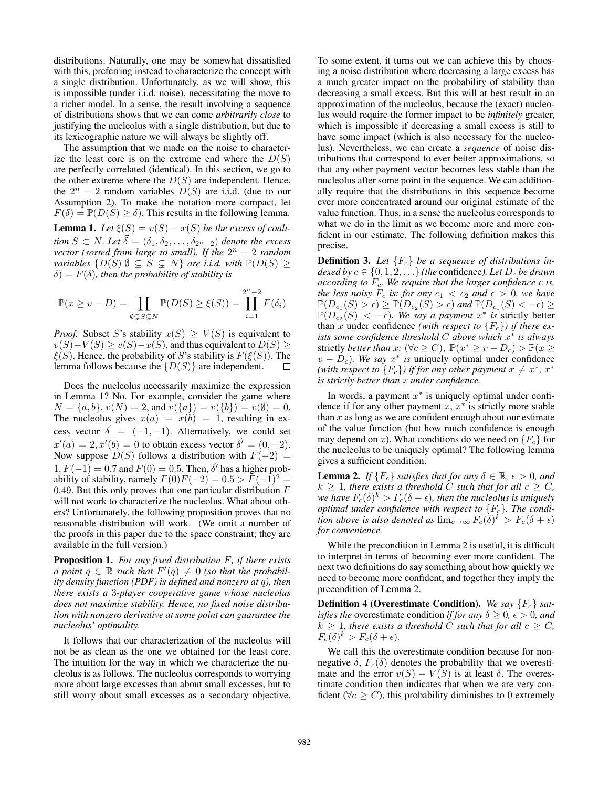distributions. Naturally, one may be somewhat dissatisfied with this, preferring instead to characterize the concept with a single distribution. Unfortunately, as we will show, this is impossible (under i.i.d. noise), necessitating the move to a richer model. In a sense, the result involving a sequence of distributions shows that we can come *arbitrarily close* to justifying the nucleolus with a single distribution, but due to its lexicographic nature we will always be slightly off.

The assumption that we made on the noise to characterize the least core is on the extreme end where the  $D(S)$ are perfectly correlated (identical). In this section, we go to the other extreme where the  $D(S)$  are independent. Hence, the  $2^n - 2$  random variables  $D(S)$  are i.i.d. (due to our Assumption 2). To make the notation more compact, let  $F(\delta) = \mathbb{P}(D(S) \ge \delta)$ . This results in the following lemma. **Lemma 1.** Let  $\xi(S) = v(S) - x(S)$  be the excess of coali*tion*  $S \subset N$ *. Let*  $\vec{\delta} = (\delta_1, \delta_2, \ldots, \delta_{2^n-2})$  *denote the excess vector (sorted from large to small). If the*  $2^n - 2$  *random variables*  $\{D(S)|\emptyset \subseteq S \subseteq N\}$  *are i.i.d. with*  $\mathbb{P}(D(S) \geq$  $\delta$ ) =  $F(\delta)$ *, then the probability of stability is* 

$$
\mathbb{P}(x \ge v - D) = \prod_{\emptyset \subsetneq S \subsetneq N} \mathbb{P}(D(S) \ge \xi(S)) = \prod_{i=1}^{2^n - 2} F(\delta_i)
$$

*Proof.* Subset S's stability  $x(S) \geq V(S)$  is equivalent to  $v(S)-V(S) \ge v(S)-x(S)$ , and thus equivalent to  $D(S) \ge v(S)$  $\xi(S)$ . Hence, the probability of S's stability is  $F(\xi(S))$ . The lemma follows because the  $\{D(S)\}\$ are independent.

Does the nucleolus necessarily maximize the expression in Lemma 1? No. For example, consider the game where  $N = \{a, b\}, v(N) = 2$ , and  $v(\{a\}) = v(\{b\}) = v(\emptyset) = 0$ . The nucleolus gives  $x(a) = x(b) = 1$ , resulting in excess vector  $\vec{\delta} = (-1, -1)$ . Alternatively, we could set  $x'(a) = 2, x'(b) = 0$  to obtain excess vector  $\vec{\delta}' = (0, -2)$ . Now suppose  $D(S)$  follows a distribution with  $F(-2) =$  $1, F(-1) = 0.7$  and  $F(0) = 0.5$ . Then,  $\vec{\delta}'$  has a higher probability of stability, namely  $F(0)F(-2) = 0.5 > F(-1)^2$ 0.49. But this only proves that one particular distribution  $F$ will not work to characterize the nucleolus. What about others? Unfortunately, the following proposition proves that no reasonable distribution will work. (We omit a number of the proofs in this paper due to the space constraint; they are available in the full version.)

Proposition 1. *For any fixed distribution* F*, if there exists a* point  $q \in \mathbb{R}$  such that  $F'(q) \neq 0$  (so that the probabil*ity density function (PDF) is defined and nonzero at* q*), then there exists a* 3*-player cooperative game whose nucleolus does not maximize stability. Hence, no fixed noise distribution with nonzero derivative at some point can guarantee the nucleolus' optimality.*

It follows that our characterization of the nucleolus will not be as clean as the one we obtained for the least core. The intuition for the way in which we characterize the nucleolus is as follows. The nucleolus corresponds to worrying more about large excesses than about small excesses, but to still worry about small excesses as a secondary objective.

To some extent, it turns out we can achieve this by choosing a noise distribution where decreasing a large excess has a much greater impact on the probability of stability than decreasing a small excess. But this will at best result in an approximation of the nucleolus, because the (exact) nucleolus would require the former impact to be *infinitely* greater, which is impossible if decreasing a small excess is still to have some impact (which is also necessary for the nucleolus). Nevertheless, we can create a *sequence* of noise distributions that correspond to ever better approximations, so that any other payment vector becomes less stable than the nucleolus after some point in the sequence. We can additionally require that the distributions in this sequence become ever more concentrated around our original estimate of the value function. Thus, in a sense the nucleolus corresponds to what we do in the limit as we become more and more confident in our estimate. The following definition makes this precise.

**Definition 3.** Let  ${F_c}$  be a sequence of distributions in*dexed by*  $c \in \{0, 1, 2, \ldots\}$  *(the confidence). Let*  $D_c$  *be drawn according to*  $F_c$ *. We require that the larger confidence c is, the less noisy*  $F_c$  *is: for any*  $c_1 < c_2$  *and*  $\epsilon > 0$ *, we have*  $\mathbb{P}(D_{c_1}(S) > \epsilon) \geq \mathbb{P}(D_{c_2}(S) > \epsilon)$  and  $\mathbb{P}(D_{c_1}(S) < -\epsilon) \geq$  $\mathbb{P}(D_{c_2}(S) < -\epsilon)$ . We say a payment  $x^*$  is strictly better than x under confidence *(with respect to*  ${F_c}$ *) if there exists some confidence threshold* C *above which* x ∗ *is always* strictly *better than*  $x: (\forall c \ge C)$ ,  $\mathbb{P}(x^* \ge v - D_c) > \mathbb{P}(x \ge$  $v - D_c$ ). We say  $x^*$  is uniquely optimal under confidence *(with respect to*  ${F<sub>c</sub>}$ *) if for any other payment*  $x \neq x^*$ ,  $x^*$ *is strictly better than* x *under confidence.*

In words, a payment  $x^*$  is uniquely optimal under confidence if for any other payment  $x, x^*$  is strictly more stable than  $x$  as long as we are confident enough about our estimate of the value function (but how much confidence is enough may depend on x). What conditions do we need on  ${F_c}$  for the nucleolus to be uniquely optimal? The following lemma gives a sufficient condition.

**Lemma 2.** *If*  ${F_c}$  *satisfies that for any*  $\delta \in \mathbb{R}$ *,*  $\epsilon > 0$ *, and*  $k \geq 1$ , there exists a threshold C such that for all  $c \geq C$ , we have  $F_c(\delta)^k > F_c(\delta + \epsilon)$ , then the nucleolus is uniquely *optimal under confidence with respect to*  ${F_c}$ . The condi*tion above is also denoted as*  $\lim_{c\to\infty} F_c(\delta)^k > F_c(\delta + \epsilon)$ *for convenience.*

While the precondition in Lemma 2 is useful, it is difficult to interpret in terms of becoming ever more confident. The next two definitions do say something about how quickly we need to become more confident, and together they imply the precondition of Lemma 2.

Definition 4 (Overestimate Condition). *We say* {Fc} *satisfies the* overestimate condition *if for any*  $\delta \geq 0$ ,  $\epsilon > 0$ *, and*  $k \geq 1$ *, there exists a threshold* C *such that for all*  $c \geq C$ *,*  $F_c(\delta)^k > F_c(\delta + \epsilon).$ 

We call this the overestimate condition because for nonnegative  $\delta$ ,  $F_c(\delta)$  denotes the probability that we overestimate and the error  $v(S) - V(S)$  is at least  $\delta$ . The overestimate condition then indicates that when we are very confident ( $\forall c \geq C$ ), this probability diminishes to 0 extremely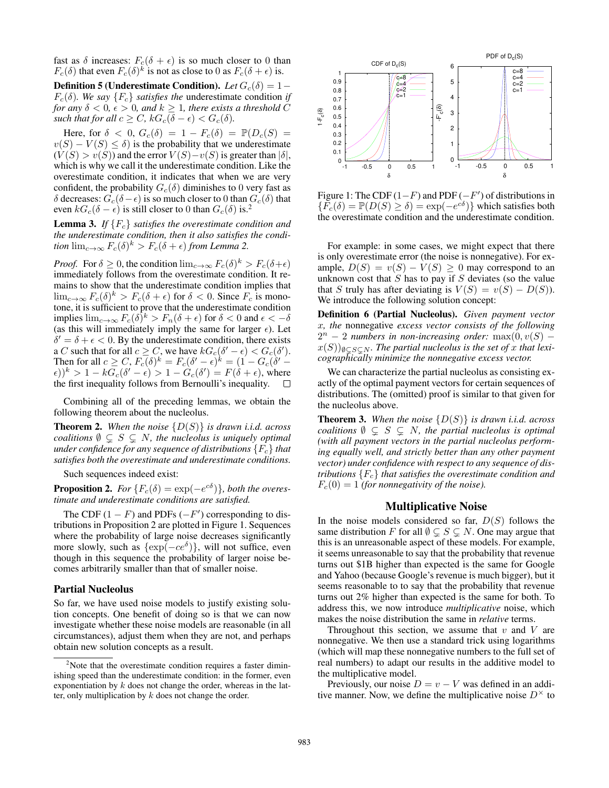fast as  $\delta$  increases:  $F_c(\delta + \epsilon)$  is so much closer to 0 than  $F_c(\delta)$  that even  $F_c(\delta)^k$  is not as close to 0 as  $F_c(\delta + \epsilon)$  is.

**Definition 5 (Underestimate Condition).** *Let*  $G_c(\delta) = 1 F_c(\delta)$ *. We say*  $\{F_c\}$  *satisfies the* underestimate condition *if for any*  $\delta$  < 0,  $\epsilon$  > 0, and  $k \geq 1$ , there exists a threshold C *such that for all*  $c \geq C$ *,*  $kG_c(\delta - \epsilon) < G_c(\delta)$ *.* 

Here, for  $\delta$  < 0,  $G_c(\delta) = 1 - F_c(\delta) = \mathbb{P}(D_c(S))$  $v(S) - V(S) \le \delta$  is the probability that we underestimate  $(V(S) > v(S))$  and the error  $V(S)-v(S)$  is greater than  $|\delta|$ , which is why we call it the underestimate condition. Like the overestimate condition, it indicates that when we are very confident, the probability  $G_c(\delta)$  diminishes to 0 very fast as δ decreases:  $G_c(\delta - \epsilon)$  is so much closer to 0 than  $G_c(\delta)$  that even  $kG_c(\delta - \epsilon)$  is still closer to 0 than  $G_c(\delta)$  is.<sup>2</sup>

**Lemma 3.** *If*  ${F_c}$  *satisfies the overestimate condition and the underestimate condition, then it also satisfies the condition*  $\lim_{c\to\infty} F_c(\delta)^k > F_c(\delta + \epsilon)$  *from Lemma* 2.

*Proof.* For  $\delta \geq 0$ , the condition  $\lim_{c \to \infty} F_c(\delta)^k > F_c(\delta + \epsilon)$ immediately follows from the overestimate condition. It remains to show that the underestimate condition implies that  $\lim_{c\to\infty} F_c(\delta)^k > F_c(\delta + \epsilon)$  for  $\delta < 0$ . Since  $F_c$  is monotone, it is sufficient to prove that the underestimate condition implies  $\lim_{c\to\infty} F_c(\delta)^k > F_n(\delta + \epsilon)$  for  $\delta < 0$  and  $\epsilon < -\delta$ (as this will immediately imply the same for larger  $\epsilon$ ). Let  $\delta' = \delta + \epsilon < 0$ . By the underestimate condition, there exists a C such that for all  $c \ge C$ , we have  $kG_c(\delta' - \epsilon) < G_c(\delta')$ . Then for all  $c \geq C$ ,  $F_c(\delta)^k = F_c(\delta' - \epsilon)^k = (1 - G_c(\delta' - \epsilon))$  $(\epsilon)$ )<sup>k</sup> > 1 – k $G_c(\delta' - \epsilon)$  > 1 –  $G_c(\delta') = F(\delta + \epsilon)$ , where the first inequality follows from Bernoulli's inequality.  $\Box$ 

Combining all of the preceding lemmas, we obtain the following theorem about the nucleolus.

**Theorem 2.** When the noise  $\{D(S)\}\$ is drawn i.i.d. across *coalitions*  $\emptyset \subsetneq S \subsetneq N$ *, the nucleolus is uniquely optimal under confidence for any sequence of distributions*  ${F_c}$  *that satisfies both the overestimate and underestimate conditions.*

Such sequences indeed exist:

**Proposition 2.** For  $\{F_c(\delta) = \exp(-e^{c\delta})\}$ , both the overes*timate and underestimate conditions are satisfied.*

The CDF  $(1 - F)$  and PDFs  $(-F')$  corresponding to distributions in Proposition 2 are plotted in Figure 1. Sequences where the probability of large noise decreases significantly more slowly, such as  $\{\exp(-ce^{\delta})\}$ , will not suffice, even though in this sequence the probability of larger noise becomes arbitrarily smaller than that of smaller noise.

## Partial Nucleolus

So far, we have used noise models to justify existing solution concepts. One benefit of doing so is that we can now investigate whether these noise models are reasonable (in all circumstances), adjust them when they are not, and perhaps obtain new solution concepts as a result.



Figure 1: The CDF  $(1-F)$  and PDF  $(-F')$  of distributions in  ${F_c(\delta) = \mathbb{P}(D(S) \ge \delta) = \exp(-e^{c\delta})}$  which satisfies both the overestimate condition and the underestimate condition.

For example: in some cases, we might expect that there is only overestimate error (the noise is nonnegative). For example,  $D(S) = v(S) - V(S) \ge 0$  may correspond to an unknown cost that  $S$  has to pay if  $S$  deviates (so the value that S truly has after deviating is  $V(S) = v(S) - D(S)$ . We introduce the following solution concept:

Definition 6 (Partial Nucleolus). *Given payment vector* x*, the* nonnegative *excess vector consists of the following*  $2^{n} - 2$  numbers in non-increasing order:  $\max(0, v(S))$  –  $x(S)$ )<sub> $\emptyset \subseteq S \subseteq N$ *. The partial nucleolus is the set of x that lexi-*</sub> *cographically minimize the nonnegative excess vector.*

We can characterize the partial nucleolus as consisting exactly of the optimal payment vectors for certain sequences of distributions. The (omitted) proof is similar to that given for the nucleolus above.

**Theorem 3.** When the noise  $\{D(S)\}\$ is drawn *i.i.d.* across *coalitions*  $\emptyset \subsetneq S \subsetneq N$ , the partial nucleolus is optimal *(with all payment vectors in the partial nucleolus performing equally well, and strictly better than any other payment vector) under confidence with respect to any sequence of distributions*  ${F_c}$  *that satisfies the overestimate condition and*  $F_c(0) = 1$  *(for nonnegativity of the noise).* 

## Multiplicative Noise

In the noise models considered so far,  $D(S)$  follows the same distribution F for all  $\emptyset \subseteq S \subseteq N$ . One may argue that this is an unreasonable aspect of these models. For example, it seems unreasonable to say that the probability that revenue turns out \$1B higher than expected is the same for Google and Yahoo (because Google's revenue is much bigger), but it seems reasonable to to say that the probability that revenue turns out 2% higher than expected is the same for both. To address this, we now introduce *multiplicative* noise, which makes the noise distribution the same in *relative* terms.

Throughout this section, we assume that  $v$  and  $V$  are nonnegative. We then use a standard trick using logarithms (which will map these nonnegative numbers to the full set of real numbers) to adapt our results in the additive model to the multiplicative model.

Previously, our noise  $D = v - V$  was defined in an additive manner. Now, we define the multiplicative noise  $D^{\times}$  to

<sup>&</sup>lt;sup>2</sup>Note that the overestimate condition requires a faster diminishing speed than the underestimate condition: in the former, even exponentiation by  $k$  does not change the order, whereas in the latter, only multiplication by  $k$  does not change the order.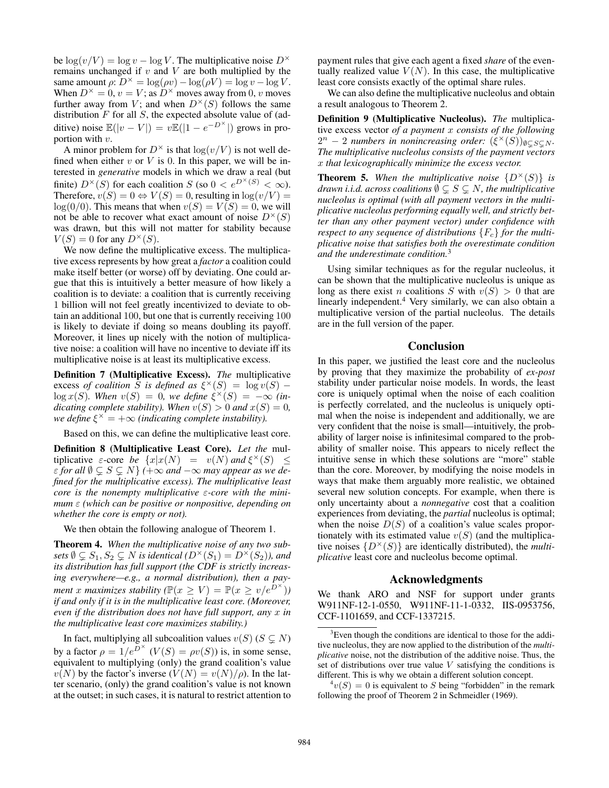be  $\log(v/V) = \log v - \log V$ . The multiplicative noise  $D^{\times}$ remains unchanged if  $v$  and  $V$  are both multiplied by the same amount  $\rho: D^{\times} = \log(\rho v) - \log(\rho V) = \log v - \log V$ . When  $D^{\times} = 0$ ,  $v = V$ ; as  $D^{\times}$  moves away from 0, v moves further away from V; and when  $D^{\times}(S)$  follows the same distribution  $F$  for all  $S$ , the expected absolute value of (additive) noise  $\mathbb{E}(|v - V|) = v \mathbb{E}(|1 - e^{-D^{\times}}|)$  grows in proportion with  $v$ .

A minor problem for  $D^{\times}$  is that  $\log(v/V)$  is not well defined when either  $v$  or  $V$  is 0. In this paper, we will be interested in *generative* models in which we draw a real (but finite)  $D^{\times}(S)$  for each coalition S (so  $0 < e^{D^{\times}(S)} < \infty$ ). Therefore,  $v(S) = 0 \Leftrightarrow V(S) = 0$ , resulting in  $\log(v/V) =$  $log(0/0)$ . This means that when  $v(S) = V(S) = 0$ , we will not be able to recover what exact amount of noise  $D^{\times}(S)$ was drawn, but this will not matter for stability because  $V(S) = 0$  for any  $D^{\times}(S)$ .

We now define the multiplicative excess. The multiplicative excess represents by how great a *factor* a coalition could make itself better (or worse) off by deviating. One could argue that this is intuitively a better measure of how likely a coalition is to deviate: a coalition that is currently receiving 1 billion will not feel greatly incentivized to deviate to obtain an additional 100, but one that is currently receiving 100 is likely to deviate if doing so means doubling its payoff. Moreover, it lines up nicely with the notion of multiplicative noise: a coalition will have no incentive to deviate iff its multiplicative noise is at least its multiplicative excess.

Definition 7 (Multiplicative Excess). *The* multiplicative excess *of coalition*  $\tilde{S}$  *is defined as*  $\xi^{\times}(S) = \log v(S)$  –  $\log x(S)$ . When  $v(S) = 0$ , we define  $\xi^{\times}(S) = -\infty$  *(indicating complete stability). When*  $v(S) > 0$  *and*  $x(S) = 0$ *, we define*  $\xi^{\times} = +\infty$  *(indicating complete instability).* 

Based on this, we can define the multiplicative least core.

Definition 8 (Multiplicative Least Core). *Let the* multiplicative  $\varepsilon$ -core *be*  $\{x | x(N) = v(N) \text{ and } \xi^{\times}(S) \leq \xi^{\times}(S) \}$  $\varepsilon$  for all  $\emptyset \subsetneq S \subsetneq N$   $(+\infty$  and  $-\infty$  may appear as we de*fined for the multiplicative excess). The multiplicative least core is the nonempty multiplicative* ε*-core with the minimum* ε *(which can be positive or nonpositive, depending on whether the core is empty or not).*

We then obtain the following analogue of Theorem 1.

Theorem 4. *When the multiplicative noise of any two subsets*  $\emptyset \subseteq S_1, S_2 \subseteq N$  *is identical*  $(D^{\times}(S_1) = D^{\times}(S_2))$ *, and its distribution has full support (the CDF is strictly increasing everywhere—e.g., a normal distribution), then a payment* x maximizes stability ( $\mathbb{P}(x \geq V) = \mathbb{P}(x \geq v/e^{D^{\times}})$ ) *if and only if it is in the multiplicative least core. (Moreover, even if the distribution does not have full support, any* x *in the multiplicative least core maximizes stability.)*

In fact, multiplying all subcoalition values  $v(S)$  ( $S \subsetneq N$ ) by a factor  $\rho = 1/e^{D^{\times}}$   $(V(S) = \rho v(S))$  is, in some sense, equivalent to multiplying (only) the grand coalition's value  $v(N)$  by the factor's inverse  $(V(N) = v(N)/\rho)$ . In the latter scenario, (only) the grand coalition's value is not known at the outset; in such cases, it is natural to restrict attention to payment rules that give each agent a fixed *share* of the eventually realized value  $V(N)$ . In this case, the multiplicative least core consists exactly of the optimal share rules.

We can also define the multiplicative nucleolus and obtain a result analogous to Theorem 2.

Definition 9 (Multiplicative Nucleolus). *The* multiplicative excess vector *of a payment* x *consists of the following*  $2^n - 2$  *numbers in nonincreasing order:*  $(\xi^{\times}(S))_{\emptyset \subseteq S \subseteq N}$ . *The multiplicative nucleolus consists of the payment vectors* x *that lexicographically minimize the excess vector.*

**Theorem 5.** When the multiplicative noise  $\{D^{\times}(S)\}\$ is *drawn i.i.d. across coalitions*  $\emptyset \subseteq S \subseteq N$ *, the multiplicative nucleolus is optimal (with all payment vectors in the multiplicative nucleolus performing equally well, and strictly better than any other payment vector) under confidence with respect to any sequence of distributions*  $\{F_c\}$  *for the multiplicative noise that satisfies both the overestimate condition and the underestimate condition.*<sup>3</sup>

Using similar techniques as for the regular nucleolus, it can be shown that the multiplicative nucleolus is unique as long as there exist *n* coalitions *S* with  $v(S) > 0$  that are linearly independent.<sup>4</sup> Very similarly, we can also obtain a multiplicative version of the partial nucleolus. The details are in the full version of the paper.

## Conclusion

In this paper, we justified the least core and the nucleolus by proving that they maximize the probability of *ex-post* stability under particular noise models. In words, the least core is uniquely optimal when the noise of each coalition is perfectly correlated, and the nucleolus is uniquely optimal when the noise is independent and additionally, we are very confident that the noise is small—intuitively, the probability of larger noise is infinitesimal compared to the probability of smaller noise. This appears to nicely reflect the intuitive sense in which these solutions are "more" stable than the core. Moreover, by modifying the noise models in ways that make them arguably more realistic, we obtained several new solution concepts. For example, when there is only uncertainty about a *nonnegative* cost that a coalition experiences from deviating, the *partial* nucleolus is optimal; when the noise  $D(S)$  of a coalition's value scales proportionately with its estimated value  $v(S)$  (and the multiplicative noises  $\{D^{\times}(S)\}\$ are identically distributed), the *multiplicative* least core and nucleolus become optimal.

### Acknowledgments

We thank ARO and NSF for support under grants W911NF-12-1-0550, W911NF-11-1-0332, IIS-0953756, CCF-1101659, and CCF-1337215.

<sup>&</sup>lt;sup>3</sup>Even though the conditions are identical to those for the additive nucleolus, they are now applied to the distribution of the *multiplicative* noise, not the distribution of the additive noise. Thus, the set of distributions over true value  $V$  satisfying the conditions is different. This is why we obtain a different solution concept.

 ${}^4v(S) = 0$  is equivalent to S being "forbidden" in the remark following the proof of Theorem 2 in Schmeidler (1969).